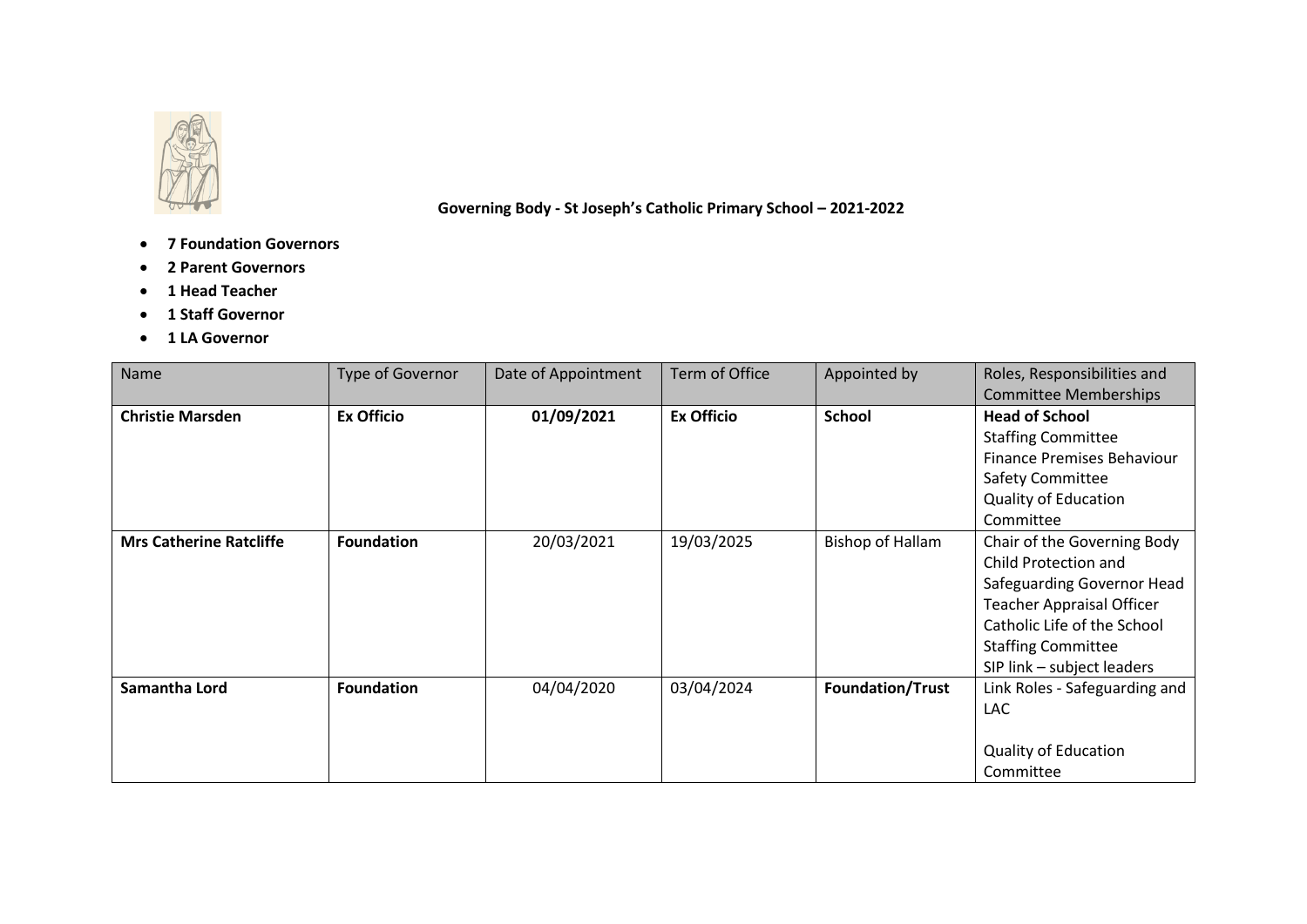

 **Governing Body - St Joseph's Catholic Primary School – 2021-2022**

- **7 Foundation Governors**
- **2 Parent Governors**
- **1 Head Teacher**
- **1 Staff Governor**
- **1 LA Governor**

| Name                           | Type of Governor  | Date of Appointment | Term of Office    | Appointed by            | Roles, Responsibilities and<br><b>Committee Memberships</b>                                                                                                                                                     |
|--------------------------------|-------------------|---------------------|-------------------|-------------------------|-----------------------------------------------------------------------------------------------------------------------------------------------------------------------------------------------------------------|
| <b>Christie Marsden</b>        | <b>Ex Officio</b> | 01/09/2021          | <b>Ex Officio</b> | <b>School</b>           | <b>Head of School</b><br><b>Staffing Committee</b>                                                                                                                                                              |
|                                |                   |                     |                   |                         | Finance Premises Behaviour<br>Safety Committee                                                                                                                                                                  |
|                                |                   |                     |                   |                         | <b>Quality of Education</b><br>Committee                                                                                                                                                                        |
| <b>Mrs Catherine Ratcliffe</b> | <b>Foundation</b> | 20/03/2021          | 19/03/2025        | <b>Bishop of Hallam</b> | Chair of the Governing Body<br>Child Protection and<br>Safeguarding Governor Head<br><b>Teacher Appraisal Officer</b><br>Catholic Life of the School<br><b>Staffing Committee</b><br>SIP link - subject leaders |
| Samantha Lord                  | <b>Foundation</b> | 04/04/2020          | 03/04/2024        | <b>Foundation/Trust</b> | Link Roles - Safeguarding and<br><b>LAC</b><br><b>Quality of Education</b><br>Committee                                                                                                                         |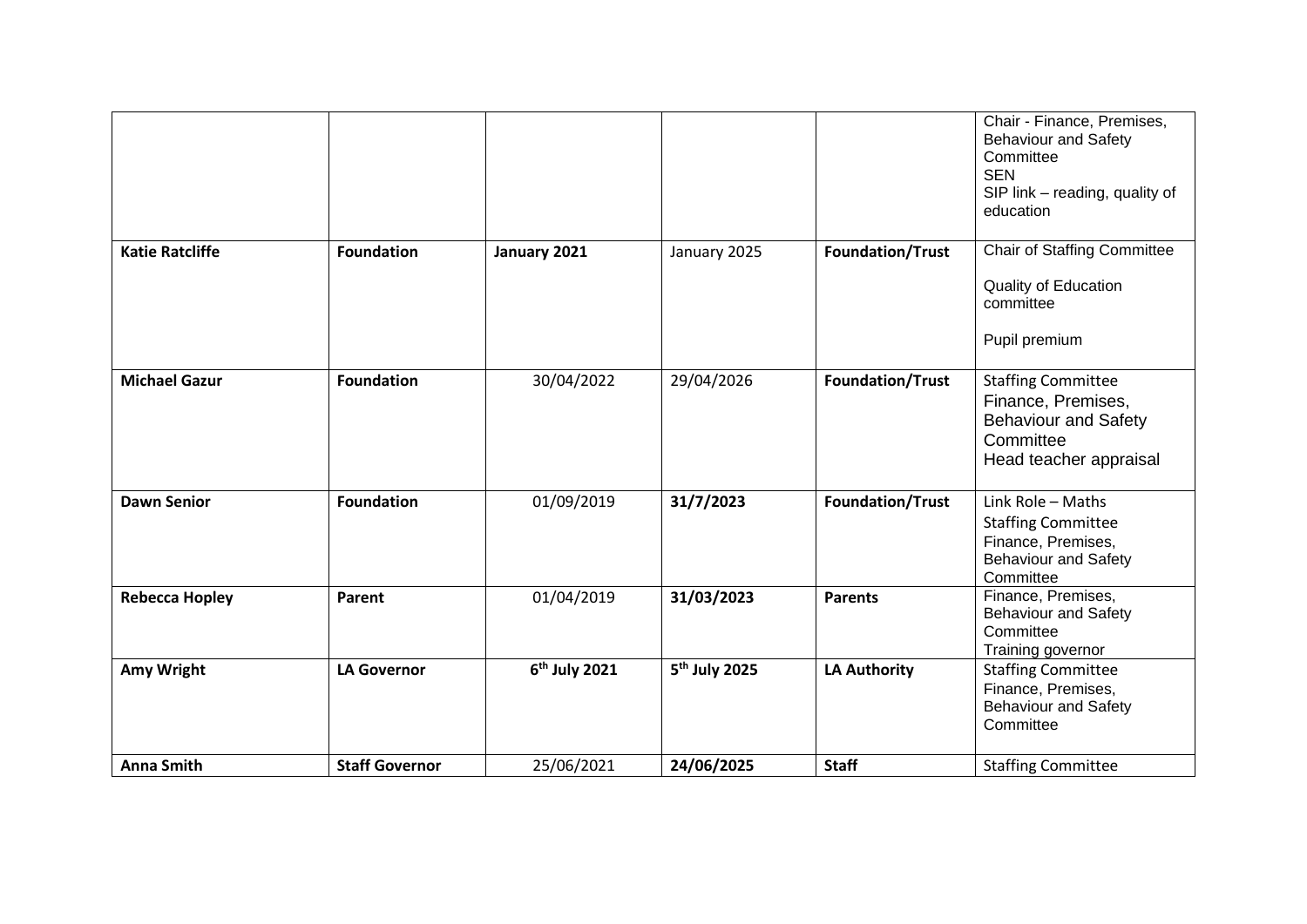|                        |                       |                           |                           |                         | Chair - Finance, Premises,<br><b>Behaviour and Safety</b><br>Committee<br><b>SEN</b><br>SIP link - reading, quality of<br>education |
|------------------------|-----------------------|---------------------------|---------------------------|-------------------------|-------------------------------------------------------------------------------------------------------------------------------------|
| <b>Katie Ratcliffe</b> | <b>Foundation</b>     | January 2021              | January 2025              | <b>Foundation/Trust</b> | <b>Chair of Staffing Committee</b><br><b>Quality of Education</b><br>committee<br>Pupil premium                                     |
| <b>Michael Gazur</b>   | <b>Foundation</b>     | 30/04/2022                | 29/04/2026                | Foundation/Trust        | <b>Staffing Committee</b><br>Finance, Premises,<br><b>Behaviour and Safety</b><br>Committee<br>Head teacher appraisal               |
| <b>Dawn Senior</b>     | <b>Foundation</b>     | 01/09/2019                | 31/7/2023                 | Foundation/Trust        | Link Role - Maths<br><b>Staffing Committee</b><br>Finance, Premises,<br><b>Behaviour and Safety</b><br>Committee                    |
| <b>Rebecca Hopley</b>  | Parent                | 01/04/2019                | 31/03/2023                | <b>Parents</b>          | Finance, Premises,<br><b>Behaviour and Safety</b><br>Committee<br>Training governor                                                 |
| Amy Wright             | <b>LA Governor</b>    | 6 <sup>th</sup> July 2021 | 5 <sup>th</sup> July 2025 | <b>LA Authority</b>     | <b>Staffing Committee</b><br>Finance, Premises,<br><b>Behaviour and Safety</b><br>Committee                                         |
| <b>Anna Smith</b>      | <b>Staff Governor</b> | 25/06/2021                | 24/06/2025                | <b>Staff</b>            | <b>Staffing Committee</b>                                                                                                           |